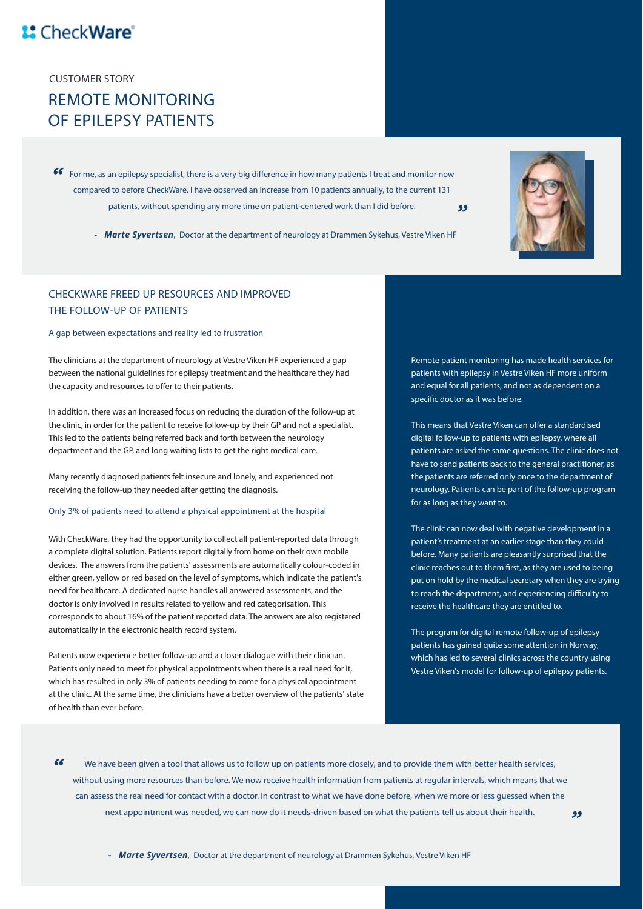## <sup>1</sup> CheckWare<sup>®</sup>

**CUSTOMER STORY**

## **REMOTE MONITORING OF EPILEPSY PATIENTS**

*For me, as an epilepsy specialist, there is a very big difference in how many patients I treat and monitor now compared to before CheckWare. I have observed an increase from 10 patients annually, to the current 131 patients, without spending any more time on patient-centered work than I did before.* 99



### **CHECKWARE FREED UP RESOURCES AND IMPROVED THE FOLLOW-UP OF PATIENTS**

#### **A gap between expectations and reality led to frustration**

**The clinicians at the department of neurology at Vestre Viken HF experienced a gap between the national guidelines for epilepsy treatment and the healthcare they had**  the capacity and resources to offer to their patients.

**In addition, there was an increased focus on reducing the duration of the follow-up at the clinic, in order for the patient to receive follow-up by their GP and not a specialist. This led to the patients being referred back and forth between the neurology department and the GP, and long waiting lists to get the right medical care.**

**Many recently diagnosed patients felt insecure and lonely, and experienced not receiving the follow-up they needed after getting the diagnosis.**

#### **Only 3% of patients need to attend a physical appointment at the hospital**

**With CheckWare, they had the opportunity to collect all patient-reported data through a complete digital solution. Patients report digitally from home on their own mobile devices. The answers from the patients' assessments are automatically colour-coded in either green, yellow or red based on the level of symptoms, which indicate the patient's need for healthcare. A dedicated nurse handles all answered assessments, and the doctor is only involved in results related to yellow and red categorisation. This corresponds to about 16% of the patient reported data. The answers are also registered automatically in the electronic health record system.** 

**Patients now experience better follow-up and a closer dialogue with their clinician. Patients only need to meet for physical appointments when there is a real need for it, which has resulted in only 3% of patients needing to come for a physical appointment at the clinic. At the same time, the clinicians have a better overview of the patients' state of health than ever before.**

**Remote patient monitoring has made health services for patients with epilepsy in Vestre Viken HF more uniform and equal for all patients, and not as dependent on a**  specific doctor as it was before.

**This means that Vestre Viken can offer a standardised digital follow-up to patients with epilepsy, where all patients are asked the same questions. The clinic does not have to send patients back to the general practitioner, as the patients are referred only once to the department of neurology. Patients can be part of the follow-up program for as long as they want to.**

**The clinic can now deal with negative development in a patient's treatment at an earlier stage than they could before. Many patients are pleasantly surprised that the**  clinic reaches out to them first, as they are used to being **put on hold by the medical secretary when they are trying**  to reach the department, and experiencing difficulty to **receive the healthcare they are entitled to.**

**The program for digital remote follow-up of epilepsy patients has gained quite some attention in Norway, which has led to several clinics across the country using Vestre Viken's model for follow-up of epilepsy patients.**

 $\epsilon$ We have been given a tool that allows us to follow up on patients more closely, and to provide them with better health services, *without using more resources than before. We now receive health information from patients at regular intervals, which means that we can assess the real need for contact with a doctor. In contrast to what we have done before, when we more or less guessed when the next appointment was needed, we can now do it needs-driven based on what the patients tell us about their health.*

*- Marte Syvertsen*, Doctor at the department of neurology at Drammen Sykehus, Vestre Viken HF